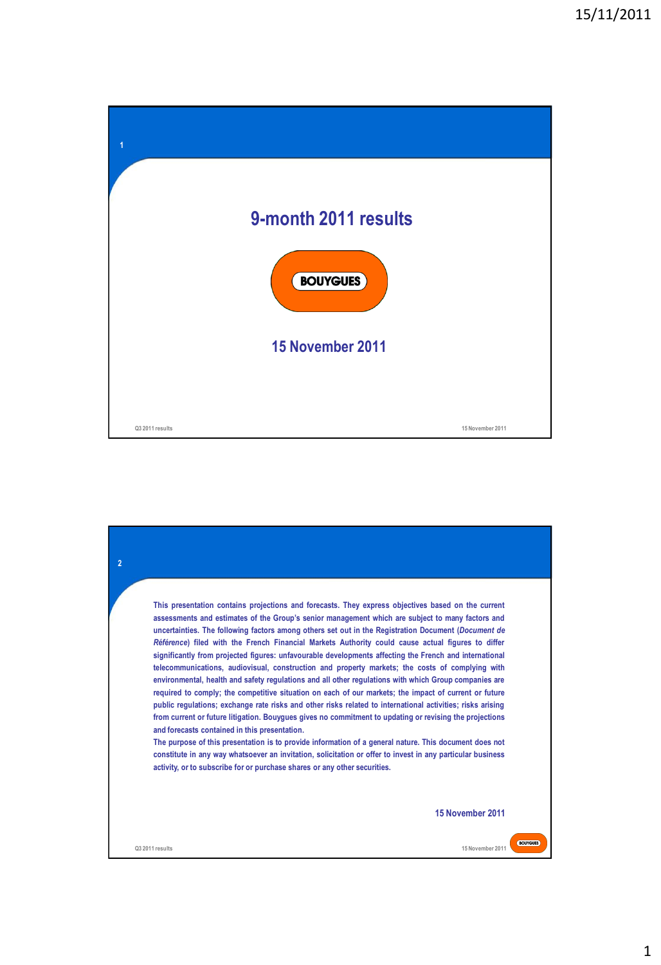| 1               |                      |                  |
|-----------------|----------------------|------------------|
|                 |                      |                  |
|                 | 9-month 2011 results |                  |
|                 | <b>BOUYGUES</b>      |                  |
|                 | 15 November 2011     |                  |
|                 |                      |                  |
| Q3 2011 results |                      | 15 November 2011 |

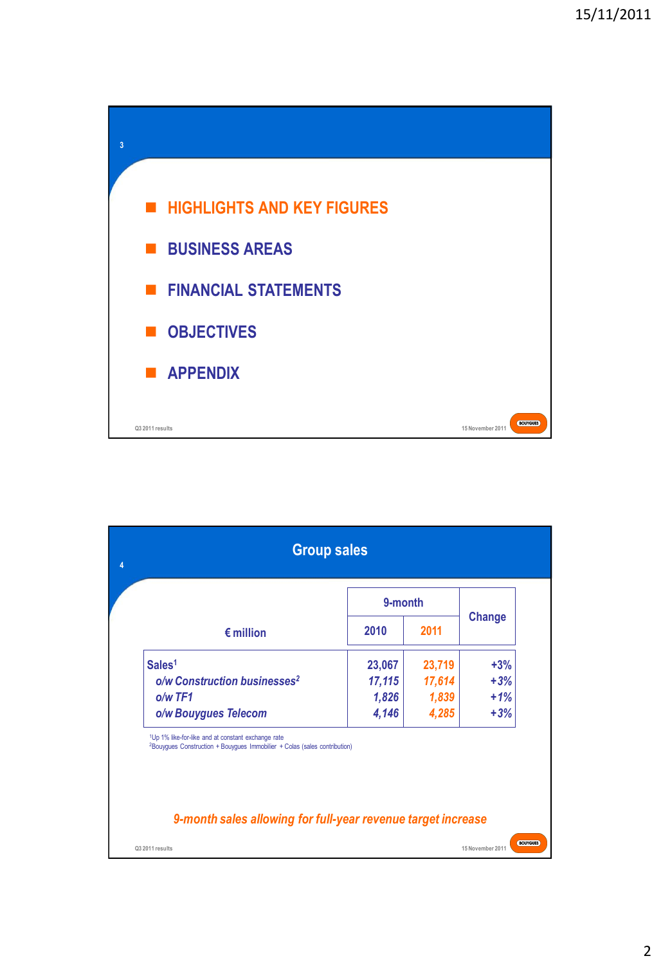

|                                                                                                                                                         | 9-month |        | <b>Change</b> |
|---------------------------------------------------------------------------------------------------------------------------------------------------------|---------|--------|---------------|
| $\epsilon$ million                                                                                                                                      | 2010    | 2011   |               |
| Sales <sup>1</sup>                                                                                                                                      | 23,067  | 23,719 | $+3%$         |
| o/w Construction businesses <sup>2</sup>                                                                                                                | 17,115  | 17,614 | $+3%$         |
| $o/w$ TF1                                                                                                                                               | 1,826   | 1,839  | $+1%$         |
| o/w Bouygues Telecom                                                                                                                                    | 4,146   | 4,285  | $+3%$         |
| <sup>1</sup> Up 1% like-for-like and at constant exchange rate<br><sup>2</sup> Bouyques Construction + Bouyques Immobilier + Colas (sales contribution) |         |        |               |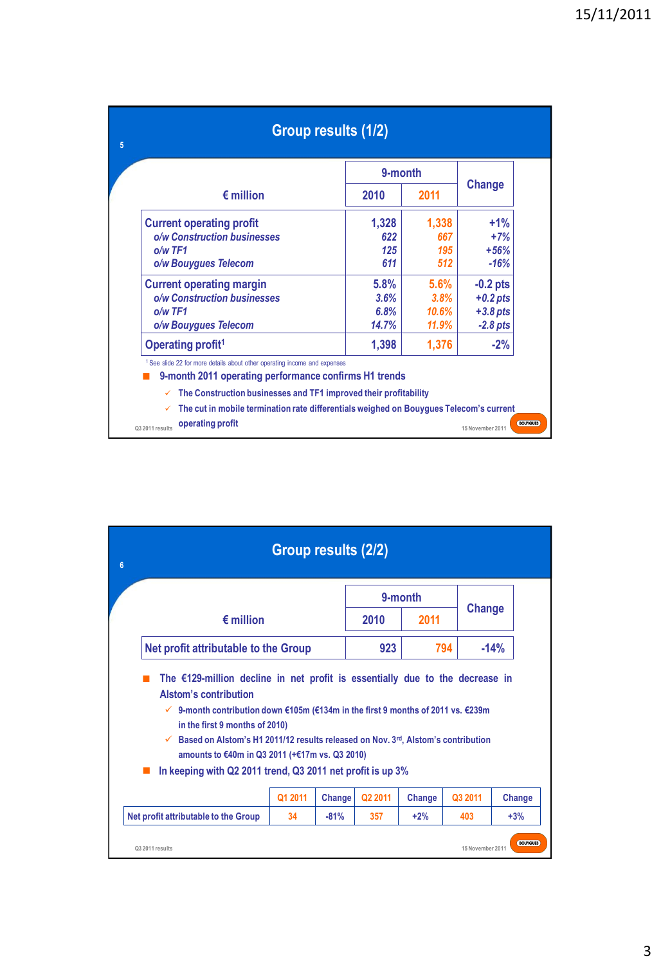|                                                                                                                                               | 9-month |       |            |  |
|-----------------------------------------------------------------------------------------------------------------------------------------------|---------|-------|------------|--|
| $\epsilon$ million                                                                                                                            | 2010    | 2011  | Change     |  |
| <b>Current operating profit</b>                                                                                                               | 1,328   | 1,338 | $+1%$      |  |
| o/w Construction businesses                                                                                                                   | 622     | 667   | $+7%$      |  |
| $o/w$ TF1                                                                                                                                     | 125     | 195   | $+56%$     |  |
| o/w Bouygues Telecom                                                                                                                          | 611     | 512   | $-16%$     |  |
| <b>Current operating margin</b>                                                                                                               | 5.8%    | 5.6%  | $-0.2$ pts |  |
| o/w Construction businesses                                                                                                                   | 3.6%    | 3.8%  | $+0.2$ pts |  |
| $o/w$ TF1                                                                                                                                     | 6.8%    | 10.6% | $+3.8$ pts |  |
| o/w Bouygues Telecom                                                                                                                          | 14.7%   | 11.9% | $-2.8$ pts |  |
| Operating profit <sup>1</sup>                                                                                                                 | 1,398   | 1,376 | $-2%$      |  |
| <sup>1</sup> See slide 22 for more details about other operating income and expenses<br>9-month 2011 operating performance confirms H1 trends |         |       |            |  |

| $6\phantom{1}6$ |                                                                                                                                                                                                                                                                                                                                                                                                                                                                  | Group results (2/2) |        |         |         |                  |                 |
|-----------------|------------------------------------------------------------------------------------------------------------------------------------------------------------------------------------------------------------------------------------------------------------------------------------------------------------------------------------------------------------------------------------------------------------------------------------------------------------------|---------------------|--------|---------|---------|------------------|-----------------|
|                 |                                                                                                                                                                                                                                                                                                                                                                                                                                                                  |                     |        |         | 9-month |                  |                 |
|                 | $\epsilon$ million                                                                                                                                                                                                                                                                                                                                                                                                                                               |                     |        | 2010    | 2011    |                  | Change          |
|                 | Net profit attributable to the Group                                                                                                                                                                                                                                                                                                                                                                                                                             |                     |        | 923     | 794     |                  | $-14%$          |
|                 | The $£129$ -million decline in net profit is essentially due to the decrease in<br>Alstom's contribution<br>9-month contribution down €105m (€134m in the first 9 months of 2011 vs. €239m<br>$\checkmark$<br>in the first 9 months of 2010)<br>Based on Alstom's H1 2011/12 results released on Nov. 3rd, Alstom's contribution<br>$\checkmark$<br>amounts to €40m in Q3 2011 (+€17m vs. Q3 2010)<br>In keeping with Q2 2011 trend, Q3 2011 net profit is up 3% | Q1 2011             | Change | Q2 2011 | Change  | Q3 2011          | Change          |
|                 | Net profit attributable to the Group                                                                                                                                                                                                                                                                                                                                                                                                                             | 34                  | $-81%$ | 357     | $+2%$   | 403              | $+3%$           |
|                 | Q3 2011 results                                                                                                                                                                                                                                                                                                                                                                                                                                                  |                     |        |         |         | 15 November 2011 | <b>BOUYGUES</b> |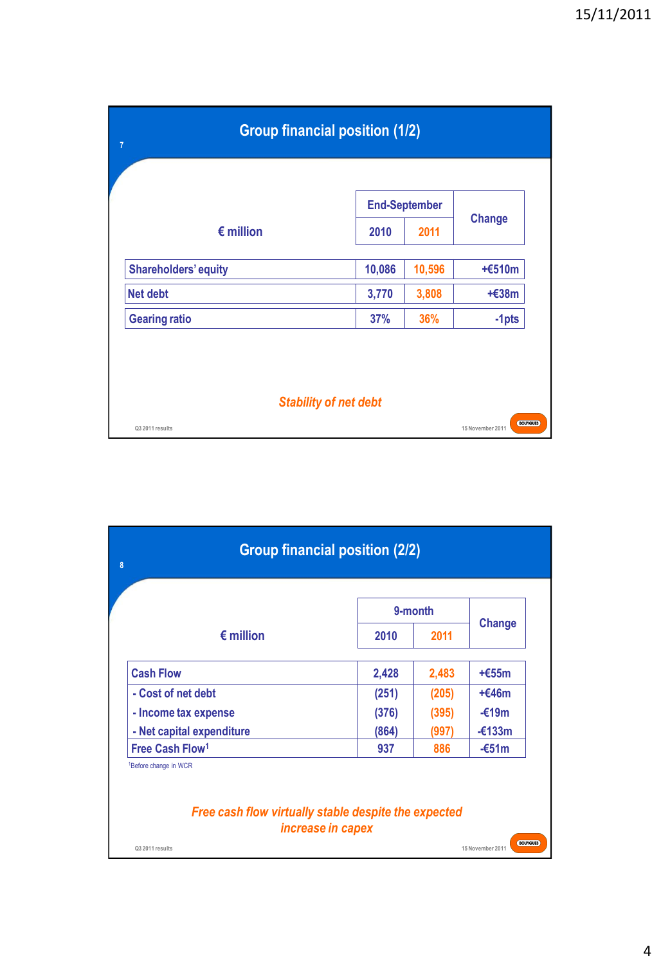| $\overline{7}$ | <b>Group financial position (1/2)</b> |        |                      |                                     |  |
|----------------|---------------------------------------|--------|----------------------|-------------------------------------|--|
|                |                                       |        | <b>End-September</b> |                                     |  |
|                | $\epsilon$ million                    | 2010   | 2011                 | <b>Change</b>                       |  |
|                | <b>Shareholders' equity</b>           | 10,086 | 10,596               | $+6510m$                            |  |
|                | <b>Net debt</b>                       | 3,770  | 3,808                | $+£38m$                             |  |
|                | <b>Gearing ratio</b>                  | 37%    | 36%                  | $-1$ pts                            |  |
|                | <b>Stability of net debt</b>          |        |                      |                                     |  |
|                | Q3 2011 results                       |        |                      | <b>BOUYGUES</b><br>15 November 2011 |  |

| $\boldsymbol{8}$                                                                          | <b>Group financial position (2/2)</b> |         |                                     |
|-------------------------------------------------------------------------------------------|---------------------------------------|---------|-------------------------------------|
|                                                                                           |                                       | 9-month |                                     |
| $\epsilon$ million                                                                        | 2010                                  | 2011    | <b>Change</b>                       |
| <b>Cash Flow</b>                                                                          | 2,428                                 | 2,483   | $+655m$                             |
| - Cost of net debt                                                                        | (251)                                 | (205)   | $+646m$                             |
| - Income tax expense                                                                      | (376)                                 | (395)   | $-£19m$                             |
| - Net capital expenditure                                                                 | (864)                                 | (997)   | $-\epsilon$ 133m                    |
| Free Cash Flow <sup>1</sup>                                                               | 937                                   | 886     | $-651m$                             |
| <sup>1</sup> Before change in WCR<br>Free cash flow virtually stable despite the expected | increase in capex                     |         |                                     |
| Q3 2011 results                                                                           |                                       |         | <b>BOUYGUES</b><br>15 November 2011 |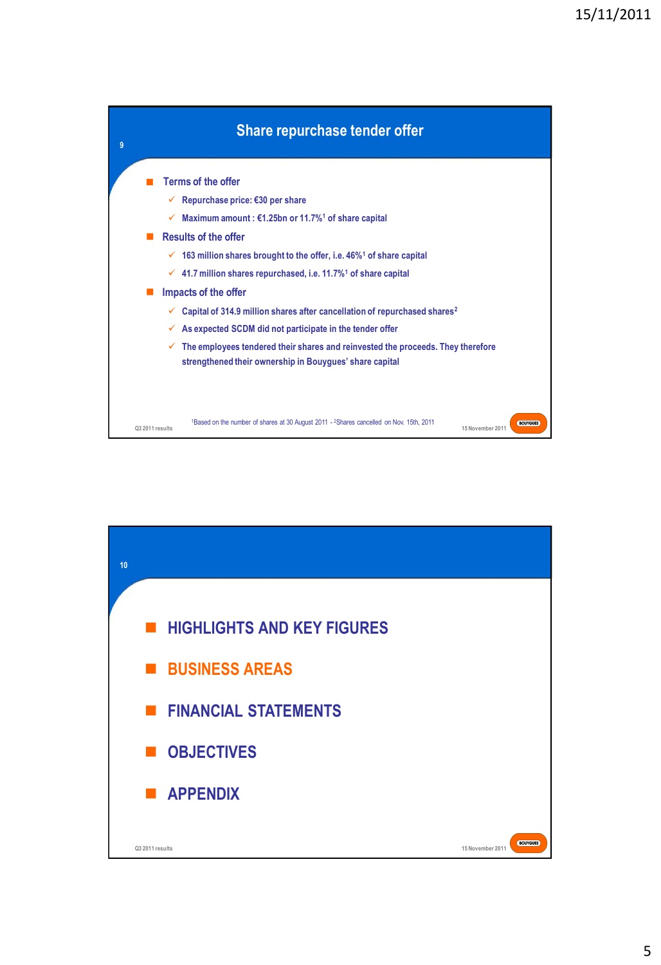

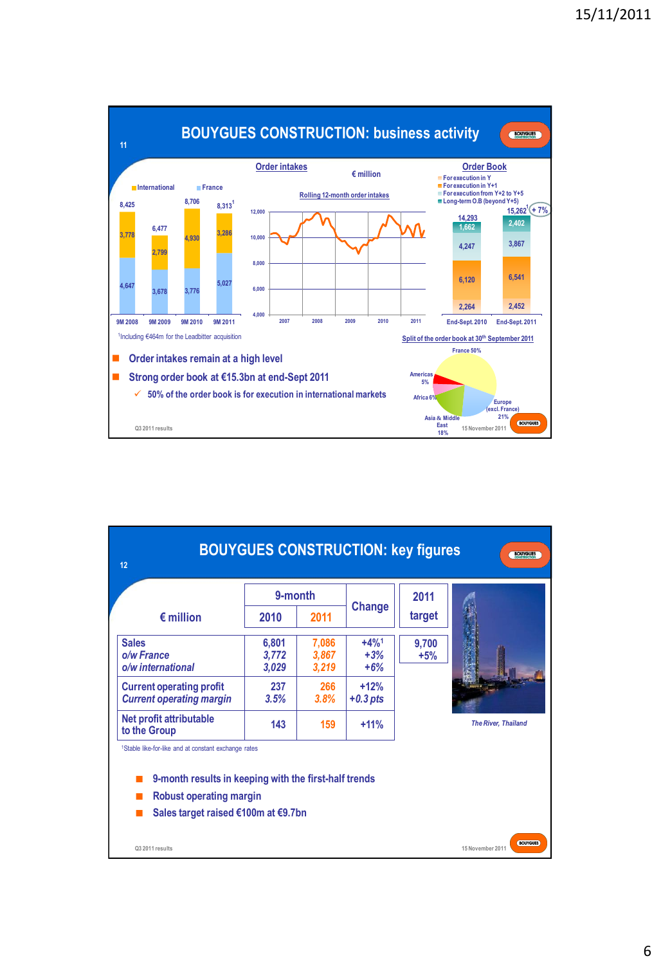

| 12                                                                                                                                                                                          |                         |                         | <b>BOUYGUES CONSTRUCTION: key figures</b> |                | <b>BOUYGUES</b>                     |
|---------------------------------------------------------------------------------------------------------------------------------------------------------------------------------------------|-------------------------|-------------------------|-------------------------------------------|----------------|-------------------------------------|
|                                                                                                                                                                                             | 9-month                 |                         |                                           | 2011           |                                     |
| $\epsilon$ million                                                                                                                                                                          | 2010                    | 2011                    | <b>Change</b>                             | target         |                                     |
| <b>Sales</b><br>o/w France<br>o/w international                                                                                                                                             | 6,801<br>3,772<br>3,029 | 7,086<br>3,867<br>3,219 | $+4%1$<br>$+3%$<br>$+6%$                  | 9,700<br>$+5%$ |                                     |
| <b>Current operating profit</b><br><b>Current operating margin</b>                                                                                                                          | 237<br>3.5%             | 266<br>3.8%             | $+12%$<br>$+0.3$ pts                      |                |                                     |
| Net profit attributable<br>to the Group                                                                                                                                                     | 143                     | 159                     | $+11%$                                    |                | <b>The River, Thaïland</b>          |
| <sup>1</sup> Stable like-for-like and at constant exchange rates<br>9-month results in keeping with the first-half trends<br>Robust operating margin<br>Sales target raised €100m at €9.7bn |                         |                         |                                           |                |                                     |
| Q3 2011 results                                                                                                                                                                             |                         |                         |                                           |                | <b>BOUYGUES</b><br>15 November 2011 |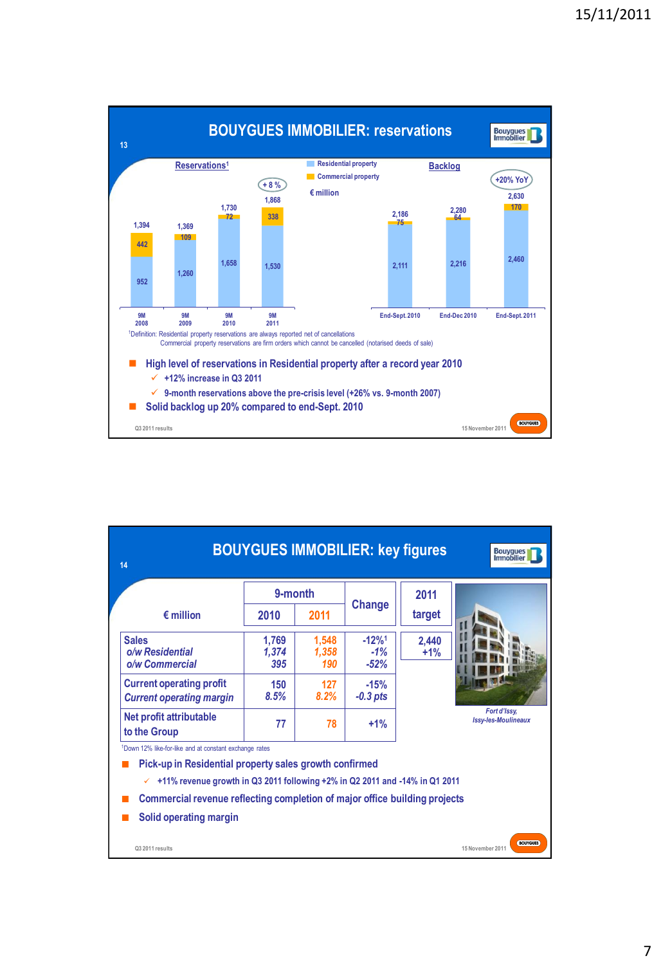

| 14                                                                                                                                         |                       |                       | <b>BOUYGUES IMMOBILIER: key figures</b> |                | <b>Bouygues</b><br>Immobilier              |
|--------------------------------------------------------------------------------------------------------------------------------------------|-----------------------|-----------------------|-----------------------------------------|----------------|--------------------------------------------|
|                                                                                                                                            | 9-month               |                       |                                         | 2011           |                                            |
| $\epsilon$ million                                                                                                                         | 2010                  | 2011                  | Change                                  | target         |                                            |
| <b>Sales</b><br>o/w Residential<br>o/w Commercial                                                                                          | 1,769<br>1.374<br>395 | 1,548<br>1.358<br>190 | $-12%$ <sup>1</sup><br>$-1%$<br>$-52%$  | 2,440<br>$+1%$ |                                            |
| <b>Current operating profit</b><br><b>Current operating margin</b>                                                                         | 150<br>8.5%           | 127<br>8.2%           | $-15%$<br>$-0.3$ pts                    |                |                                            |
| Net profit attributable<br>to the Group                                                                                                    | 77                    | 78                    | $+1%$                                   |                | Fort d'Issy.<br><b>Issy-les-Moulineaux</b> |
| <sup>1</sup> Down 12% like-for-like and at constant exchange rates                                                                         |                       |                       |                                         |                |                                            |
| Pick-up in Residential property sales growth confirmed<br>+11% revenue growth in Q3 2011 following +2% in Q2 2011 and -14% in Q1 2011<br>✓ |                       |                       |                                         |                |                                            |
| Commercial revenue reflecting completion of major office building projects                                                                 |                       |                       |                                         |                |                                            |
| Solid operating margin                                                                                                                     |                       |                       |                                         |                |                                            |
| Q3 2011 results                                                                                                                            |                       |                       |                                         |                | <b>BOUYGUES</b><br>15 November 2011        |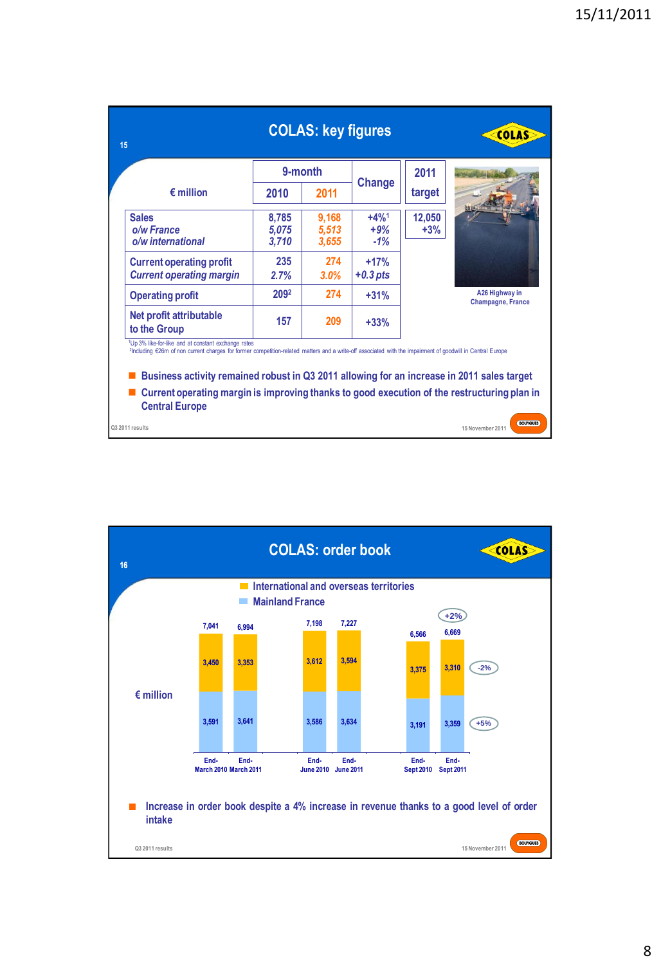| 15                                                                                                                                                                                                                                                                                                                                                                                                                                                  |                         | <b>COLAS: key figures</b> |                          |                 | <b>COLAS</b>                               |
|-----------------------------------------------------------------------------------------------------------------------------------------------------------------------------------------------------------------------------------------------------------------------------------------------------------------------------------------------------------------------------------------------------------------------------------------------------|-------------------------|---------------------------|--------------------------|-----------------|--------------------------------------------|
|                                                                                                                                                                                                                                                                                                                                                                                                                                                     |                         | 9-month                   |                          | 2011            |                                            |
| $\epsilon$ million                                                                                                                                                                                                                                                                                                                                                                                                                                  | 2010                    | 2011                      | Change                   | target          |                                            |
| <b>Sales</b><br>o/w France<br>o/w international                                                                                                                                                                                                                                                                                                                                                                                                     | 8,785<br>5,075<br>3,710 | 9,168<br>5,513<br>3,655   | $+4%1$<br>$+9%$<br>$-1%$ | 12,050<br>$+3%$ |                                            |
| <b>Current operating profit</b><br><b>Current operating margin</b>                                                                                                                                                                                                                                                                                                                                                                                  | 235<br>2.7%             | 274<br>$3.0\%$            | $+17%$<br>$+0.3$ pts     |                 |                                            |
| <b>Operating profit</b>                                                                                                                                                                                                                                                                                                                                                                                                                             | 2092                    | 274                       | $+31%$                   |                 | A26 Highway in<br><b>Champagne, France</b> |
| Net profit attributable<br>to the Group                                                                                                                                                                                                                                                                                                                                                                                                             | 157                     | 209                       | $+33%$                   |                 |                                            |
| <sup>1</sup> Up 3% like-for-like and at constant exchange rates<br>2Including €26m of non current charges for former competition-related matters and a write-off associated with the impairment of goodwill in Central Europe<br>Business activity remained robust in Q3 2011 allowing for an increase in 2011 sales target<br>Current operating margin is improving thanks to good execution of the restructuring plan in<br><b>Central Europe</b> |                         |                           |                          |                 |                                            |
| Q3 2011 results                                                                                                                                                                                                                                                                                                                                                                                                                                     |                         |                           |                          |                 | <b>BOUYGUES</b><br>15 November 2011        |

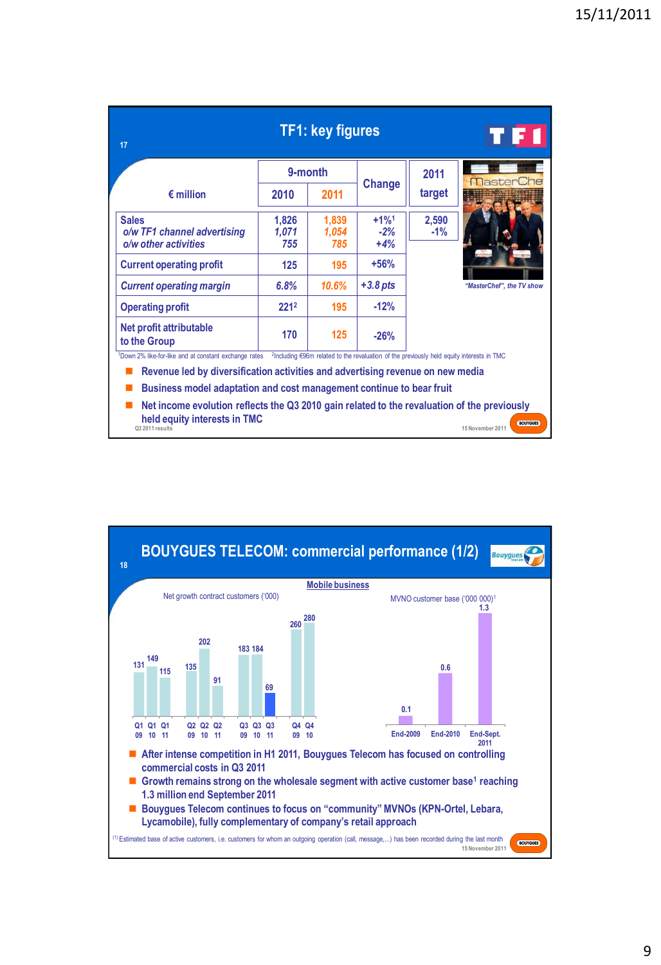| 17                                                                                                                                             |                       | <b>TF1: key figures</b> |                                                                                                       |                | TH                                  |
|------------------------------------------------------------------------------------------------------------------------------------------------|-----------------------|-------------------------|-------------------------------------------------------------------------------------------------------|----------------|-------------------------------------|
|                                                                                                                                                |                       | 9-month                 |                                                                                                       | 2011           |                                     |
| $\epsilon$ million                                                                                                                             | 2010                  | 2011                    | <b>Change</b>                                                                                         | target         | <b>MasterCh</b>                     |
| <b>Sales</b><br>o/w TF1 channel advertising<br>o/w other activities                                                                            | 1,826<br>1,071<br>755 | 1,839<br>1,054<br>785   | $+1\%$ <sup>1</sup><br>$-2%$<br>$+4%$                                                                 | 2,590<br>$-1%$ |                                     |
| <b>Current operating profit</b>                                                                                                                | 125                   | 195                     | $+56%$                                                                                                |                |                                     |
| <b>Current operating margin</b>                                                                                                                | 6.8%                  | 10.6%                   | $+3.8$ pts                                                                                            |                | "MasterChef", the TV show           |
| <b>Operating profit</b>                                                                                                                        | 2212                  | 195                     | $-12%$                                                                                                |                |                                     |
| Net profit attributable<br>to the Group                                                                                                        | 170                   | 125                     | $-26%$                                                                                                |                |                                     |
| <sup>1</sup> Down 2% like-for-like and at constant exchange rates                                                                              |                       |                         | <sup>2</sup> Including €96m related to the revaluation of the previously held equity interests in TMC |                |                                     |
| Revenue led by diversification activities and advertising revenue on new media                                                                 |                       |                         |                                                                                                       |                |                                     |
| Business model adaptation and cost management continue to bear fruit                                                                           |                       |                         |                                                                                                       |                |                                     |
| Net income evolution reflects the Q3 2010 gain related to the revaluation of the previously<br>held equity interests in TMC<br>Q3 2011 results |                       |                         |                                                                                                       |                | <b>BOUYGUES</b><br>15 November 2011 |

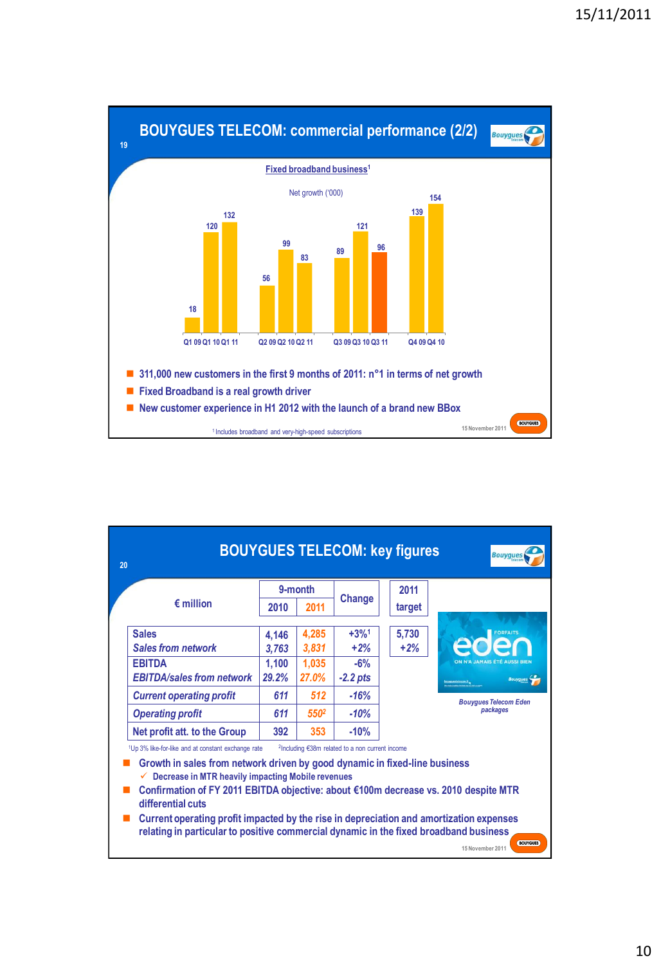

| 20 |                                                                                                                                                                                                                                                                                                                                        |       |                  |                                                             | <b>BOUYGUES TELECOM: key figures</b> | <b>Bouyques</b>                             |
|----|----------------------------------------------------------------------------------------------------------------------------------------------------------------------------------------------------------------------------------------------------------------------------------------------------------------------------------------|-------|------------------|-------------------------------------------------------------|--------------------------------------|---------------------------------------------|
|    |                                                                                                                                                                                                                                                                                                                                        |       | 9-month          |                                                             | 2011                                 |                                             |
|    | $\epsilon$ million                                                                                                                                                                                                                                                                                                                     | 2010  | 2011             | Change                                                      | target                               |                                             |
|    |                                                                                                                                                                                                                                                                                                                                        |       |                  |                                                             |                                      |                                             |
|    | <b>Sales</b>                                                                                                                                                                                                                                                                                                                           | 4.146 | 4,285            | $+3%1$                                                      | 5,730                                |                                             |
|    | <b>Sales from network</b>                                                                                                                                                                                                                                                                                                              | 3.763 | 3,831            | $+2%$                                                       | $+2%$                                |                                             |
|    | <b>EBITDA</b>                                                                                                                                                                                                                                                                                                                          | 1.100 | 1,035            | $-6%$                                                       |                                      | ON N'A JAMAIS ETÉ AUSSI BIEN                |
|    | <b>EBITDA/sales from network</b>                                                                                                                                                                                                                                                                                                       | 29.2% | 27.0%            | $-2.2$ pts                                                  |                                      | <b>Bouygues</b><br><b>NEWSPAPERS</b> STATES |
|    | <b>Current operating profit</b>                                                                                                                                                                                                                                                                                                        | 611   | 512              | $-16%$                                                      |                                      | <b>Bouvaues Telecom Eden</b>                |
|    | <b>Operating profit</b>                                                                                                                                                                                                                                                                                                                | 611   | 550 <sup>2</sup> | $-10%$                                                      |                                      | packages                                    |
|    | Net profit att. to the Group                                                                                                                                                                                                                                                                                                           | 392   | 353              | $-10%$                                                      |                                      |                                             |
|    | <sup>1</sup> Up 3% like-for-like and at constant exchange rate                                                                                                                                                                                                                                                                         |       |                  | <sup>2</sup> Including €38m related to a non current income |                                      |                                             |
|    | Growth in sales from network driven by good dynamic in fixed-line business<br>Decrease in MTR heavily impacting Mobile revenues<br>Confirmation of FY 2011 EBITDA objective: about €100m decrease vs. 2010 despite MTR<br>differential cuts<br>Current operating profit impacted by the rise in depreciation and amortization expenses |       |                  |                                                             |                                      |                                             |

**BOUYGUES 15 November 2011**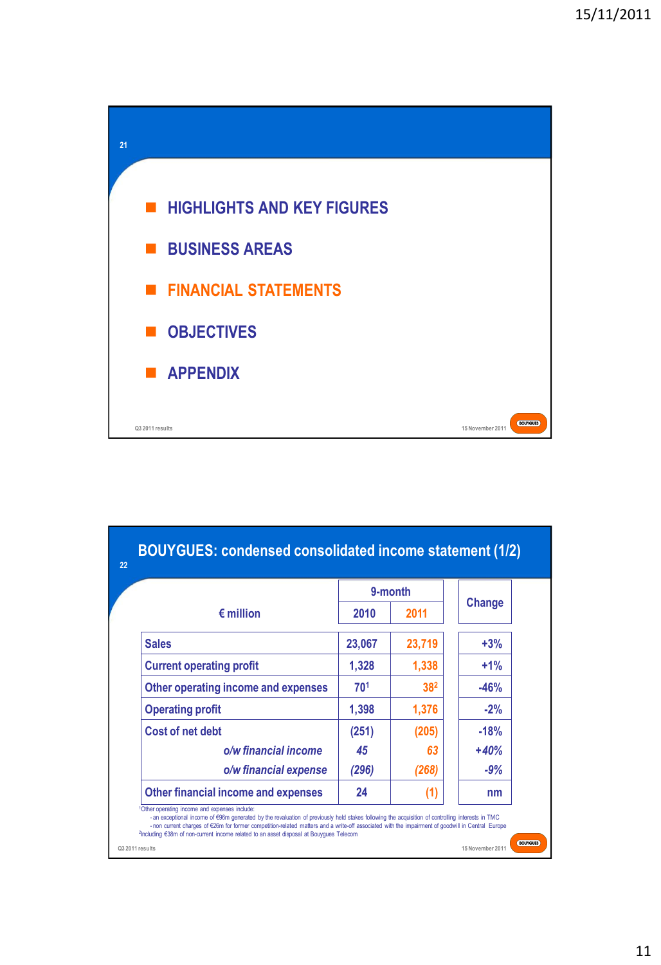

|                                     |        | 9-month         |        |
|-------------------------------------|--------|-----------------|--------|
| $\epsilon$ million                  | 2010   | 2011            | Change |
| <b>Sales</b>                        | 23,067 | 23,719          | $+3%$  |
| <b>Current operating profit</b>     | 1,328  | 1,338           | $+1\%$ |
| Other operating income and expenses | 701    | 38 <sup>2</sup> | $-46%$ |
| <b>Operating profit</b>             | 1,398  | 1,376           | $-2%$  |
| Cost of net debt                    | (251)  | (205)           | $-18%$ |
| o/w financial income                | 45     | 63              | $+40%$ |
| o/w financial expense               | (296)  | (268)           | $-9%$  |
| Other financial income and expenses | 24     | (1)             | nm     |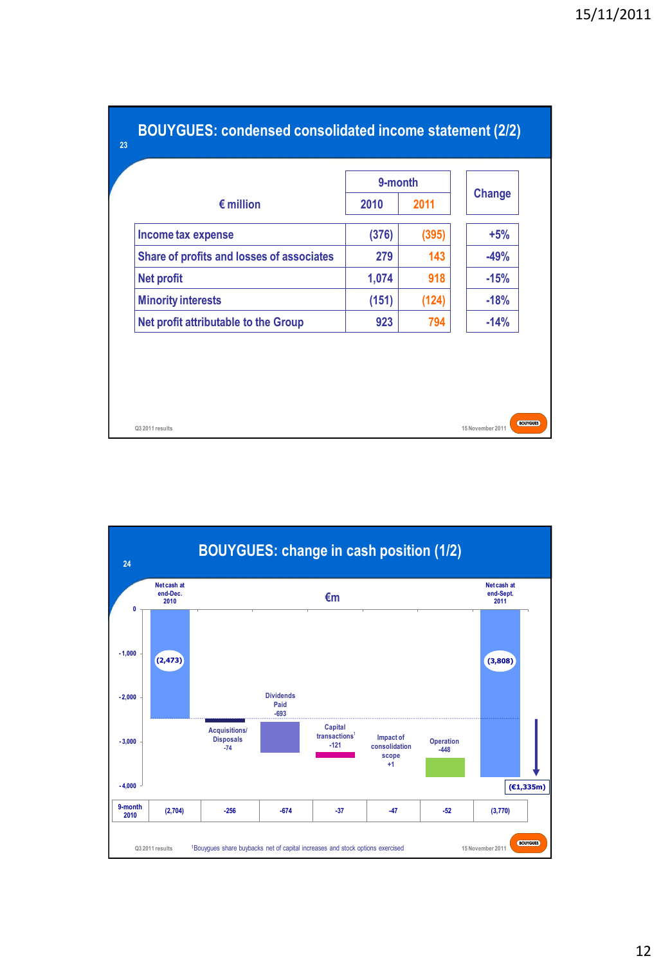|                                           | 9-month |       |        |
|-------------------------------------------|---------|-------|--------|
| $\epsilon$ million                        | 2010    | 2011  | Change |
| Income tax expense                        | (376)   | (395) | $+5%$  |
| Share of profits and losses of associates | 279     | 143   | $-49%$ |
| <b>Net profit</b>                         | 1,074   | 918   | $-15%$ |
| <b>Minority interests</b>                 | (151)   | (124) | $-18%$ |
| Net profit attributable to the Group      | 923     | 794   | $-14%$ |

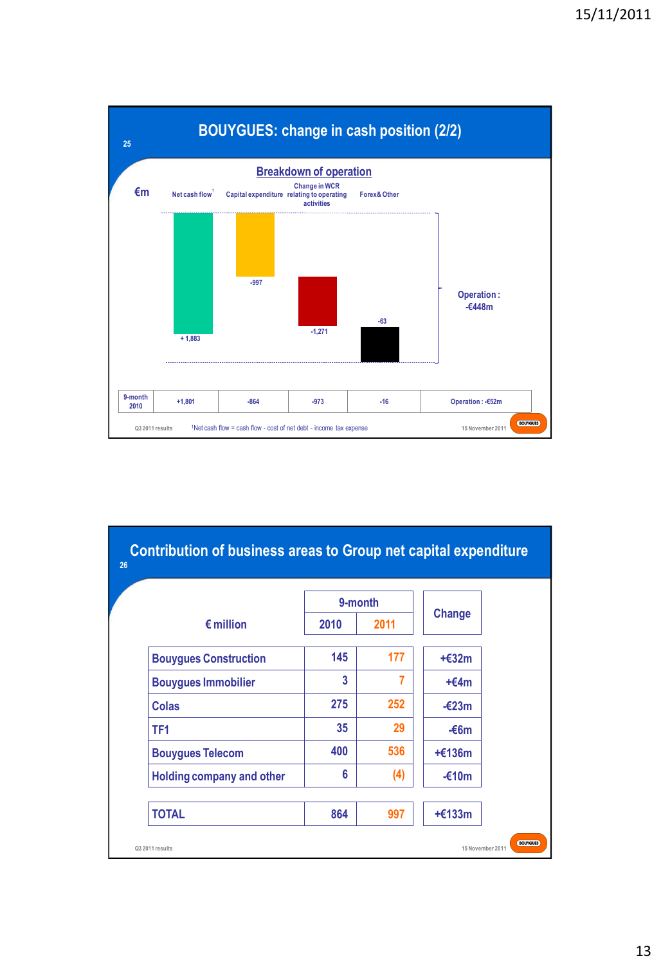

|                                  | 9-month         |      |                 |  |
|----------------------------------|-----------------|------|-----------------|--|
| $\epsilon$ million               | 2010            | 2011 | <b>Change</b>   |  |
| <b>Bouygues Construction</b>     | 145             | 177  | $+£32m$         |  |
| <b>Bouygues Immobilier</b>       | 3               | 7    | $+€4m$          |  |
| Colas                            | 275             | 252  | $-\epsilon$ 23m |  |
| TF <sub>1</sub>                  | 35 <sub>5</sub> | 29   | $-66m$          |  |
| <b>Bouygues Telecom</b>          | 400             | 536  | $+£136m$        |  |
| <b>Holding company and other</b> | 6               | (4)  | $-£10m$         |  |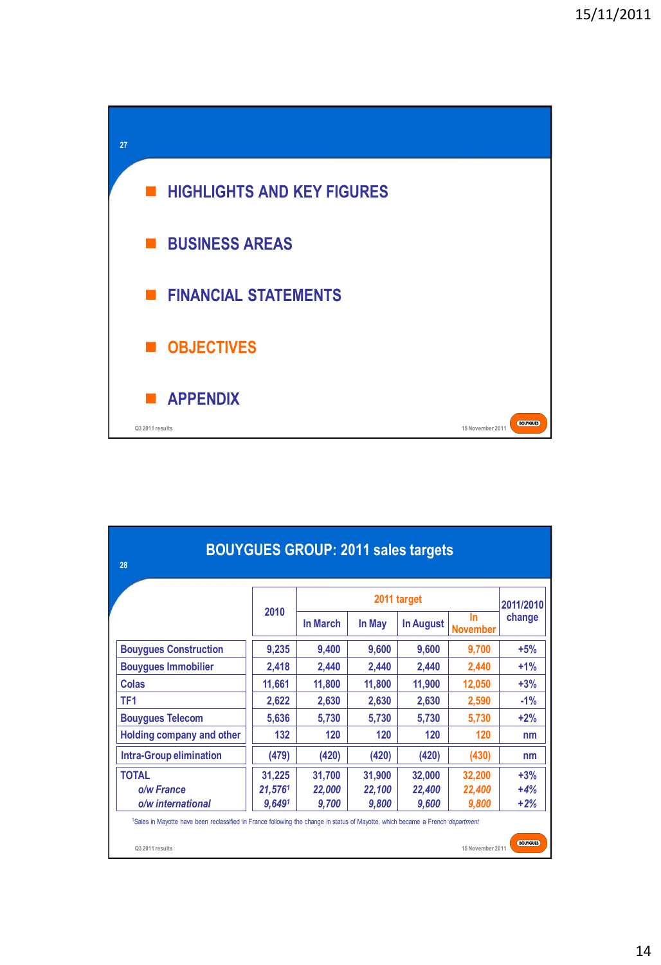

| <b>BOUYGUES GROUP: 2011 sales targets</b><br>28                                                                                                                                                             |                             |                           |                           |                           |                           |                         |
|-------------------------------------------------------------------------------------------------------------------------------------------------------------------------------------------------------------|-----------------------------|---------------------------|---------------------------|---------------------------|---------------------------|-------------------------|
|                                                                                                                                                                                                             |                             | 2011 target               |                           |                           |                           |                         |
|                                                                                                                                                                                                             | 2010                        | <b>In March</b>           | In May                    | In August                 | In<br><b>November</b>     | change                  |
| <b>Bouygues Construction</b>                                                                                                                                                                                | 9,235                       | 9,400                     | 9,600                     | 9,600                     | 9,700                     | $+5%$                   |
| <b>Bouygues Immobilier</b>                                                                                                                                                                                  | 2,418                       | 2,440                     | 2,440                     | 2,440                     | 2,440                     | $+1%$                   |
| Colas                                                                                                                                                                                                       | 11,661                      | 11,800                    | 11,800                    | 11,900                    | 12,050                    | $+3%$                   |
| TF <sub>1</sub>                                                                                                                                                                                             | 2,622                       | 2,630                     | 2,630                     | 2,630                     | 2,590                     | $-1%$                   |
| <b>Bouygues Telecom</b>                                                                                                                                                                                     | 5,636                       | 5,730                     | 5,730                     | 5,730                     | 5,730                     | $+2%$                   |
| <b>Holding company and other</b>                                                                                                                                                                            | 132                         | 120                       | 120                       | 120                       | 120                       | nm                      |
| <b>Intra-Group elimination</b>                                                                                                                                                                              | (479)                       | (420)                     | (420)                     | (420)                     | (430)                     | nm                      |
| <b>TOTAL</b><br>o/w France<br>o/w international                                                                                                                                                             | 31,225<br>21,5761<br>9.6491 | 31,700<br>22,000<br>9,700 | 31,900<br>22,100<br>9,800 | 32,000<br>22,400<br>9,600 | 32,200<br>22,400<br>9,800 | $+3%$<br>$+4%$<br>$+2%$ |
| <sup>1</sup> Sales in Mayotte have been reclassified in France following the change in status of Mayotte, which became a French <i>department</i><br><b>BOUYGUES</b><br>Q3 2011 results<br>15 November 2011 |                             |                           |                           |                           |                           |                         |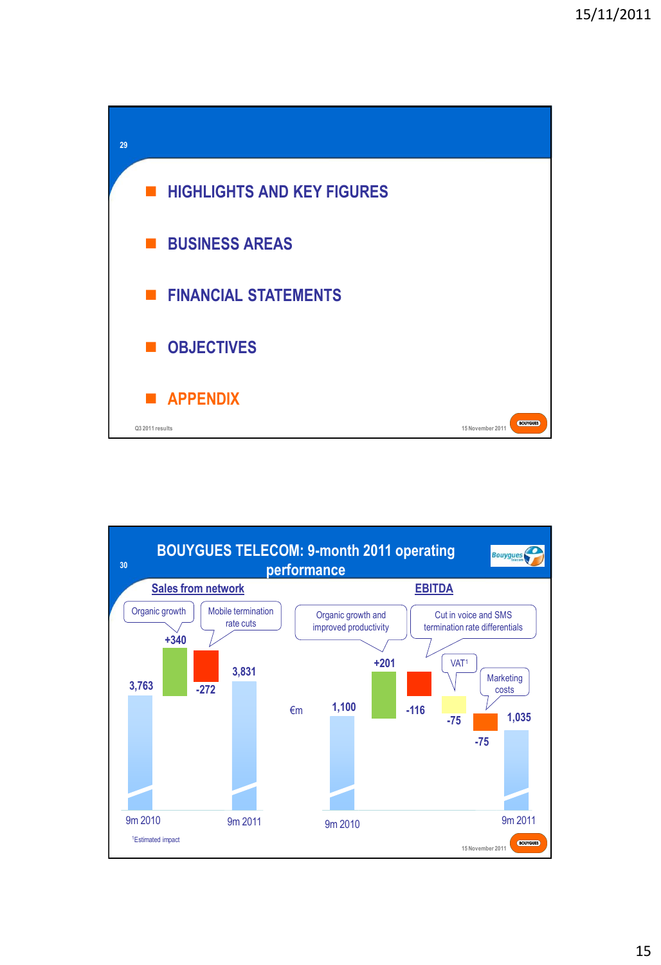

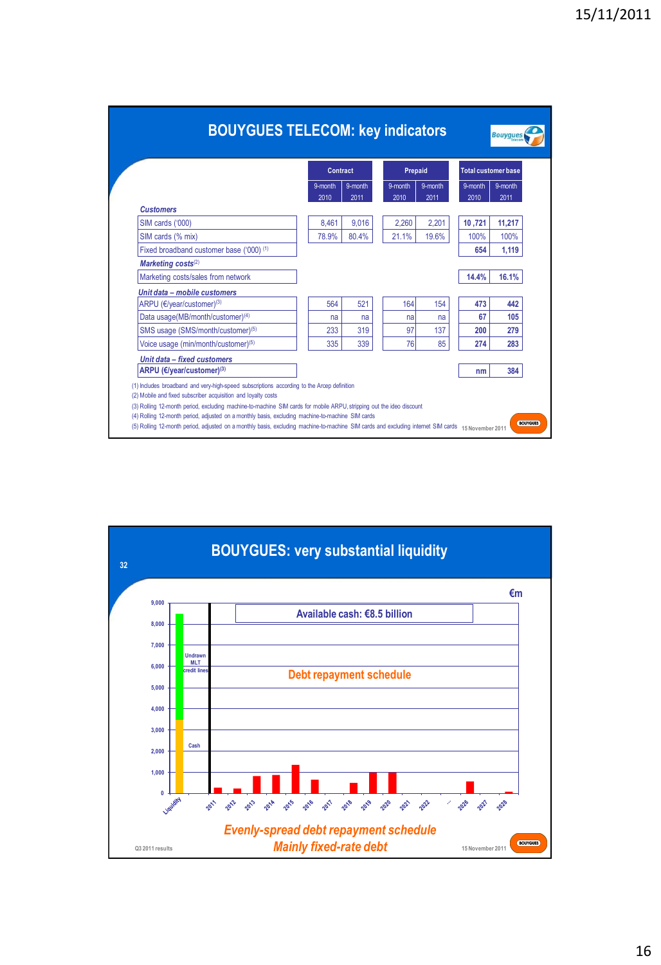|                                                     | <b>Contract</b> |         | Prepaid |         | <b>Total customer base</b> |         |
|-----------------------------------------------------|-----------------|---------|---------|---------|----------------------------|---------|
|                                                     | 9-month         | 9-month | 9-month | 9-month | 9-month                    | 9-month |
| <b>Customers</b>                                    | 2010            | 2011    | 2010    | 2011    | 2010                       | 2011    |
| SIM cards ('000)                                    | 8.461           | 9,016   | 2.260   | 2,201   | 10,721                     | 11,217  |
| SIM cards (% mix)                                   | 78.9%           | 80.4%   | 21.1%   | 19.6%   | 100%                       | 100%    |
| Fixed broadband customer base ('000) <sup>(1)</sup> |                 |         |         |         | 654                        | 1.119   |
| Marketing costs <sup>(2)</sup>                      |                 |         |         |         |                            |         |
| Marketing costs/sales from network                  |                 |         |         |         | 14.4%                      | 16.1%   |
| Unit data - mobile customers                        |                 |         |         |         |                            |         |
| ARPU (€/year/customer) <sup>(3)</sup>               | 564             | 521     | 164     | 154     | 473                        | 442     |
| Data usage(MB/month/customer) <sup>(4)</sup>        | na              | na      | na      | na      | 67                         | 105     |
| SMS usage (SMS/month/customer) <sup>(5)</sup>       | 233             | 319     | 97      | 137     | 200                        | 279     |
| Voice usage (min/month/customer) <sup>(5)</sup>     | 335             | 339     | 76      | 85      | 274                        | 283     |
| Unit data - fixed customers                         |                 |         |         |         |                            |         |
| ARPU (€/year/customer) <sup>(3)</sup>               |                 |         |         |         | nm                         | 384     |